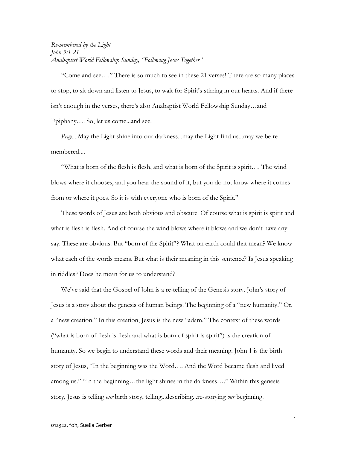Re-membered by the Light John 3:1-21 Anabaptist World Fellowship Sunday, "Following Jesus Together"

"Come and see…." There is so much to see in these 21 verses! There are so many places to stop, to sit down and listen to Jesus, to wait for Spirit's stirring in our hearts. And if there isn't enough in the verses, there's also Anabaptist World Fellowship Sunday…and Epiphany…. So, let us come...and see.

Pray....May the Light shine into our darkness...may the Light find us...may we be remembered....

"What is born of the flesh is flesh, and what is born of the Spirit is spirit…. The wind blows where it chooses, and you hear the sound of it, but you do not know where it comes from or where it goes. So it is with everyone who is born of the Spirit."

These words of Jesus are both obvious and obscure. Of course what is spirit is spirit and what is flesh is flesh. And of course the wind blows where it blows and we don't have any say. These are obvious. But "born of the Spirit"? What on earth could that mean? We know what each of the words means. But what is their meaning in this sentence? Is Jesus speaking in riddles? Does he mean for us to understand?

We've said that the Gospel of John is a re-telling of the Genesis story. John's story of Jesus is a story about the genesis of human beings. The beginning of a "new humanity." Or, a "new creation." In this creation, Jesus is the new "adam." The context of these words ("what is born of flesh is flesh and what is born of spirit is spirit") is the creation of humanity. So we begin to understand these words and their meaning. John 1 is the birth story of Jesus, "In the beginning was the Word…. And the Word became flesh and lived among us." "In the beginning…the light shines in the darkness…." Within this genesis story, Jesus is telling *our* birth story, telling...describing... re-storying *our* beginning.

1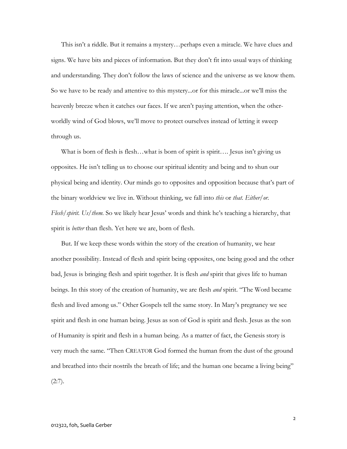This isn't a riddle. But it remains a mystery…perhaps even a miracle. We have clues and signs. We have bits and pieces of information. But they don't fit into usual ways of thinking and understanding. They don't follow the laws of science and the universe as we know them. So we have to be ready and attentive to this mystery...or for this miracle...or we'll miss the heavenly breeze when it catches our faces. If we aren't paying attention, when the otherworldly wind of God blows, we'll move to protect ourselves instead of letting it sweep through us.

What is born of flesh is flesh...what is born of spirit is spirit.... Jesus isn't giving us opposites. He isn't telling us to choose our spiritual identity and being and to shun our physical being and identity. Our minds go to opposites and opposition because that's part of the binary worldview we live in. Without thinking, we fall into this or that. Either/or.  $F$ lesh/spirit. Us/them. So we likely hear Jesus' words and think he's teaching a hierarchy, that spirit is *better* than flesh. Yet here we are, born of flesh.

But. If we keep these words within the story of the creation of humanity, we hear another possibility. Instead of flesh and spirit being opposites, one being good and the other bad, Jesus is bringing flesh and spirit together. It is flesh *and* spirit that gives life to human beings. In this story of the creation of humanity, we are flesh *and* spirit. "The Word became flesh and lived among us." Other Gospels tell the same story. In Mary's pregnancy we see spirit and flesh in one human being. Jesus as son of God is spirit and flesh. Jesus as the son of Humanity is spirit and flesh in a human being. As a matter of fact, the Genesis story is very much the same. "Then CREATOR God formed the human from the dust of the ground and breathed into their nostrils the breath of life; and the human one became a living being"  $(2:7)$ .

 $\overline{2}$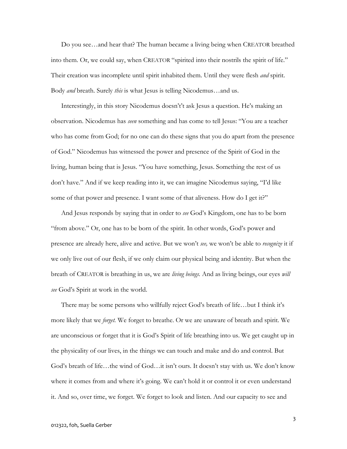Do you see…and hear that? The human became a living being when CREATOR breathed into them. Or, we could say, when CREATOR "spirited into their nostrils the spirit of life." Their creation was incomplete until spirit inhabited them. Until they were flesh *and* spirit. Body and breath. Surely this is what Jesus is telling Nicodemus…and us.

Interestingly, in this story Nicodemus doesn't't ask Jesus a question. He's making an observation. Nicodemus has seen something and has come to tell Jesus: "You are a teacher who has come from God; for no one can do these signs that you do apart from the presence of God." Nicodemus has witnessed the power and presence of the Spirit of God in the living, human being that is Jesus. "You have something, Jesus. Something the rest of us don't have." And if we keep reading into it, we can imagine Nicodemus saying, "I'd like some of that power and presence. I want some of that aliveness. How do I get it?"

And Jesus responds by saying that in order to see God's Kingdom, one has to be born "from above." Or, one has to be born of the spirit. In other words, God's power and presence are already here, alive and active. But we won't see, we won't be able to *recognize* it if we only live out of our flesh, if we only claim our physical being and identity. But when the breath of CREATOR is breathing in us, we are *living beings*. And as living beings, our eyes *will* see God's Spirit at work in the world.

There may be some persons who willfully reject God's breath of life…but I think it's more likely that we *forget*. We forget to breathe. Or we are unaware of breath and spirit. We are unconscious or forget that it is God's Spirit of life breathing into us. We get caught up in the physicality of our lives, in the things we can touch and make and do and control. But God's breath of life…the wind of God…it isn't ours. It doesn't stay with us. We don't know where it comes from and where it's going. We can't hold it or control it or even understand it. And so, over time, we forget. We forget to look and listen. And our capacity to see and

3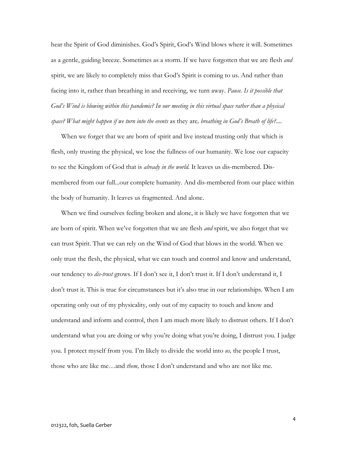hear the Spirit of God diminishes. God's Spirit, God's Wind blows where it will. Sometimes as a gentle, guiding breeze. Sometimes as a storm. If we have forgotten that we are flesh *and* spirit, we are likely to completely miss that God's Spirit is coming to us. And rather than facing into it, rather than breathing in and receiving, we turn away. Pause. Is it possible that God's Wind is blowing within this pandemic? In our meeting in this virtual space rather than a physical space? What might happen if we turn into the events as they are, breathing in God's Breath of life?....

When we forget that we are born of spirit and live instead trusting only that which is flesh, only trusting the physical, we lose the fullness of our humanity. We lose our capacity to see the Kingdom of God that is *already in the world*. It leaves us dis-membered. Dismembered from our full...our complete humanity. And dis-membered from our place within the body of humanity. It leaves us fragmented. And alone.

When we find ourselves feeling broken and alone, it is likely we have forgotten that we are born of spirit. When we've forgotten that we are flesh *and* spirit, we also forget that we can trust Spirit. That we can rely on the Wind of God that blows in the world. When we only trust the flesh, the physical, what we can touch and control and know and understand, our tendency to *dis-trust* grows. If I don't see it, I don't trust it. If I don't understand it, I don't trust it. This is true for circumstances but it's also true in our relationships. When I am operating only out of my physicality, only out of my capacity to touch and know and understand and inform and control, then I am much more likely to distrust others. If I don't understand what you are doing or why you're doing what you're doing, I distrust you. I judge you. I protect myself from you. I'm likely to divide the world into us, the people I trust, those who are like me...and *them*, those I don't understand and who are not like me.

4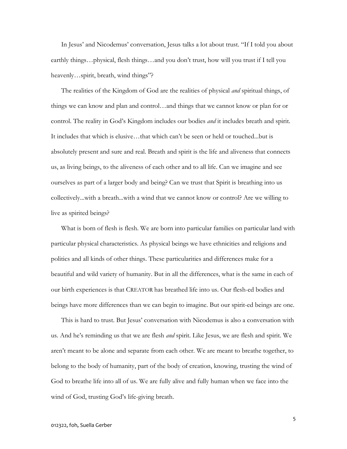In Jesus' and Nicodemus' conversation, Jesus talks a lot about trust. "If I told you about earthly things…physical, flesh things…and you don't trust, how will you trust if I tell you heavenly…spirit, breath, wind things"?

The realities of the Kingdom of God are the realities of physical and spiritual things, of things we can know and plan and control…and things that we cannot know or plan for or control. The reality in God's Kingdom includes our bodies *and* it includes breath and spirit. It includes that which is elusive…that which can't be seen or held or touched...but is absolutely present and sure and real. Breath and spirit is the life and aliveness that connects us, as living beings, to the aliveness of each other and to all life. Can we imagine and see ourselves as part of a larger body and being? Can we trust that Spirit is breathing into us collectively...with a breath...with a wind that we cannot know or control? Are we willing to live as spirited beings?

What is born of flesh is flesh. We are born into particular families on particular land with particular physical characteristics. As physical beings we have ethnicities and religions and politics and all kinds of other things. These particularities and differences make for a beautiful and wild variety of humanity. But in all the differences, what is the same in each of our birth experiences is that CREATOR has breathed life into us. Our flesh-ed bodies and beings have more differences than we can begin to imagine. But our spirit-ed beings are one.

This is hard to trust. But Jesus' conversation with Nicodemus is also a conversation with us. And he's reminding us that we are flesh *and* spirit. Like Jesus, we are flesh and spirit. We aren't meant to be alone and separate from each other. We are meant to breathe together, to belong to the body of humanity, part of the body of creation, knowing, trusting the wind of God to breathe life into all of us. We are fully alive and fully human when we face into the wind of God, trusting God's life-giving breath.